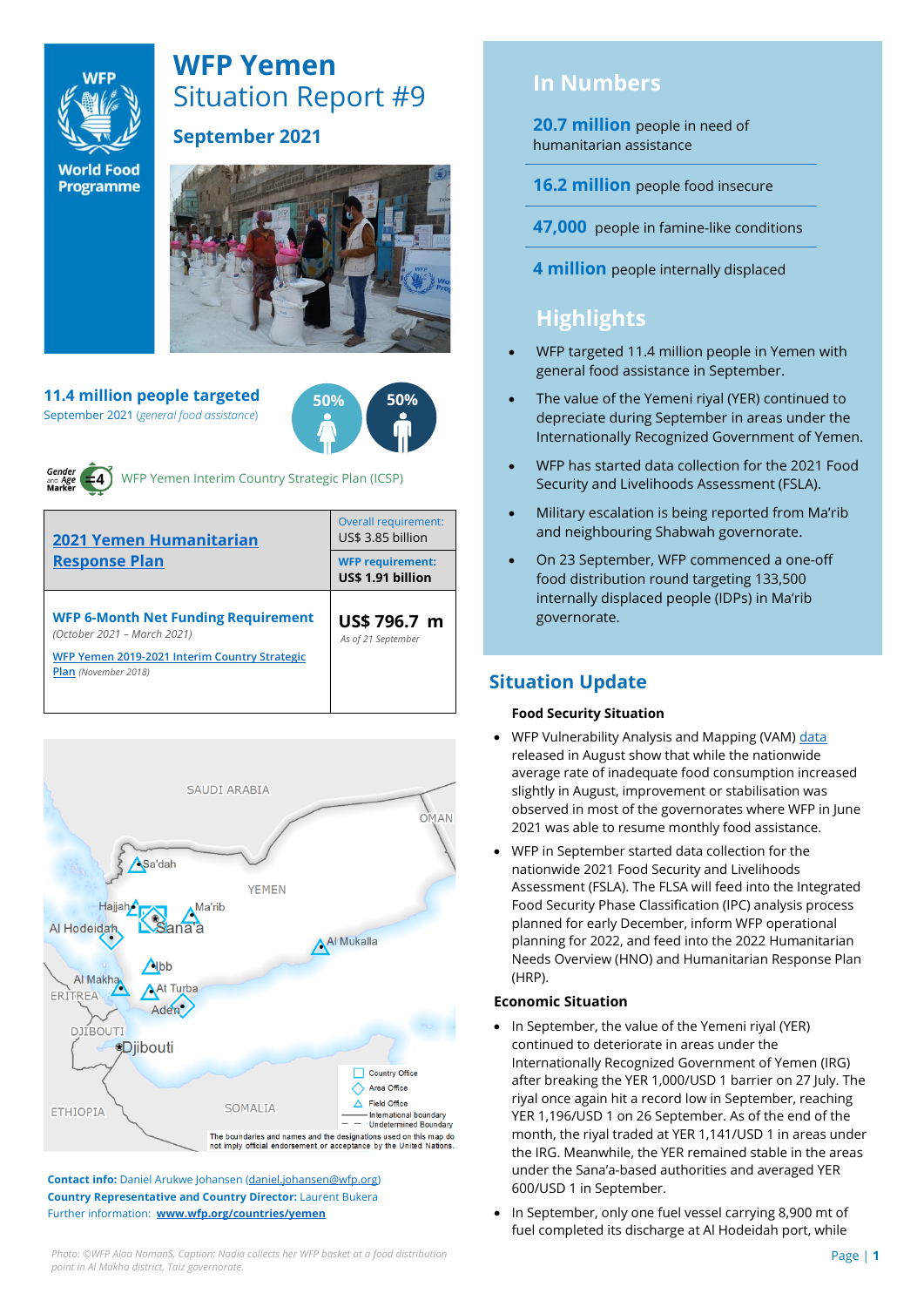

# **WFP Yemen** Situation Report #9

**World Food Programme** 

### **September 2021**



**11.4 million people targeted** September 2021 (*general food assistance*)





WFP Yemen Interim Country Strategic Plan (ICSP)

| <b>2021 Yemen Humanitarian</b><br><b>Response Plan</b>                                                                                                    | Overall requirement:<br>US\$ 3.85 billion    |  |  |
|-----------------------------------------------------------------------------------------------------------------------------------------------------------|----------------------------------------------|--|--|
|                                                                                                                                                           | <b>WFP requirement:</b><br>US\$ 1.91 billion |  |  |
| <b>WFP 6-Month Net Funding Requirement</b><br>(October 2021 - March 2021)<br>WFP Yemen 2019-2021 Interim Country Strategic<br><b>Plan</b> (November 2018) | US\$ 796.7 m<br>As of 21 September           |  |  |



**Contact info:** Daniel Arukwe Johansen [\(daniel.johansen@wfp.org\)](mailto:daniel.johansen@wfp.org) **Country Representative and Country Director:** Laurent Bukera Further information: **[www.wfp.org/countries/yemen](http://www.wfp.org/countries/yemen)**

# **In Numbers**

**20.7 million** people in need of humanitarian assistance

**16.2 million** people food insecure

**47,000** people in famine-like conditions

**4 million** people internally displaced

# **Highlights**

- WFP targeted 11.4 million people in Yemen with general food assistance in September.
- The value of the Yemeni riyal (YER) continued to depreciate during September in areas under the Internationally Recognized Government of Yemen.
- WFP has started data collection for the 2021 Food Security and Livelihoods Assessment (FSLA).
- Military escalation is being reported from Ma'rib and neighbouring Shabwah governorate.
- On 23 September, WFP commenced a one-off food distribution round targeting 133,500 internally displaced people (IDPs) in Ma'rib governorate.

### **Situation Update**

#### **Food Security Situation**

- WFP Vulnerability Analysis and Mapping (VAM) [data](https://reliefweb.int/report/yemen/wfp-yemen-food-security-update-september-2021) released in August show that while the nationwide average rate of inadequate food consumption increased slightly in August, improvement or stabilisation was observed in most of the governorates where WFP in June 2021 was able to resume monthly food assistance.
- WFP in September started data collection for the nationwide 2021 Food Security and Livelihoods Assessment (FSLA). The FLSA will feed into the Integrated Food Security Phase Classification (IPC) analysis process planned for early December, inform WFP operational planning for 2022, and feed into the 2022 Humanitarian Needs Overview (HNO) and Humanitarian Response Plan (HRP).

#### **Economic Situation**

- In September, the value of the Yemeni riyal (YER) continued to deteriorate in areas under the Internationally Recognized Government of Yemen (IRG) after breaking the YER 1,000/USD 1 barrier on 27 July. The riyal once again hit a record low in September, reaching YER 1,196/USD 1 on 26 September. As of the end of the month, the riyal traded at YER 1,141/USD 1 in areas under the IRG. Meanwhile, the YER remained stable in the areas under the Sana'a-based authorities and averaged YER 600/USD 1 in September.
- In September, only one fuel vessel carrying 8,900 mt of fuel completed its discharge at Al Hodeidah port, while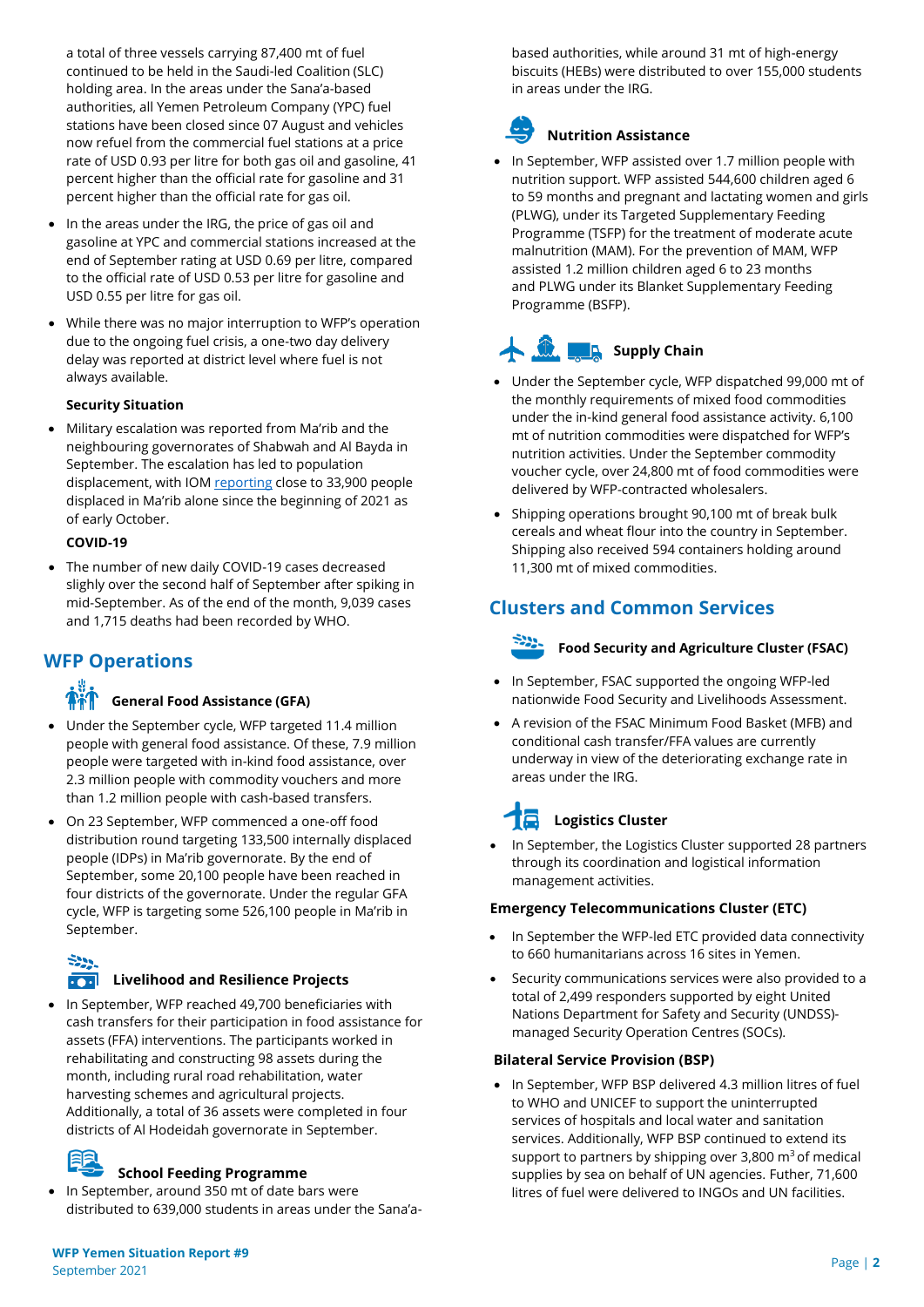a total of three vessels carrying 87,400 mt of fuel continued to be held in the Saudi-led Coalition (SLC) holding area. In the areas under the Sana'a-based authorities, all Yemen Petroleum Company (YPC) fuel stations have been closed since 07 August and vehicles now refuel from the commercial fuel stations at a price rate of USD 0.93 per litre for both gas oil and gasoline, 41 percent higher than the official rate for gasoline and 31 percent higher than the official rate for gas oil.

- In the areas under the IRG, the price of gas oil and gasoline at YPC and commercial stations increased at the end of September rating at USD 0.69 per litre, compared to the official rate of USD 0.53 per litre for gasoline and USD 0.55 per litre for gas oil.
- While there was no major interruption to WFP's operation due to the ongoing fuel crisis, a one-two day delivery delay was reported at district level where fuel is not always available.

#### **Security Situation**

• Military escalation was reported from Ma'rib and the neighbouring governorates of Shabwah and Al Bayda in September. The escalation has led to population displacement, with IO[M reporting](https://reliefweb.int/report/yemen/iom-yemen-rapid-displacement-tracking-yemen-idp-dashboard-reporting-period-26-september) close to 33,900 people displaced in Ma'rib alone since the beginning of 2021 as of early October.

#### **COVID-19**

• The number of new daily COVID-19 cases decreased slighly over the second half of September after spiking in mid-September. As of the end of the month, 9,039 cases and 1,715 deaths had been recorded by WHO.

### **WFP Operations**

#### **General Food Assistance (GFA)**

- Under the September cycle, WFP targeted 11.4 million people with general food assistance. Of these, 7.9 million people were targeted with in-kind food assistance, over 2.3 million people with commodity vouchers and more than 1.2 million people with cash-based transfers.
- On 23 September, WFP commenced a one-off food distribution round targeting 133,500 internally displaced people (IDPs) in Ma'rib governorate. By the end of September, some 20,100 people have been reached in four districts of the governorate. Under the regular GFA cycle, WFP is targeting some 526,100 people in Ma'rib in September.

# $-222$

#### **Livelihood and Resilience Projects**

• In September, WFP reached 49,700 beneficiaries with cash transfers for their participation in food assistance for assets (FFA) interventions. The participants worked in rehabilitating and constructing 98 assets during the month, including rural road rehabilitation, water harvesting schemes and agricultural projects. Additionally, a total of 36 assets were completed in four districts of Al Hodeidah governorate in September.

#### **School Feeding Programme**

• In September, around 350 mt of date bars were distributed to 639,000 students in areas under the Sana'abased authorities, while around 31 mt of high-energy biscuits (HEBs) were distributed to over 155,000 students in areas under the IRG.

# **Nutrition Assistance**

• In September, WFP assisted over 1.7 million people with nutrition support. WFP assisted 544,600 children aged 6 to 59 months and pregnant and lactating women and girls (PLWG), under its Targeted Supplementary Feeding Programme (TSFP) for the treatment of moderate acute malnutrition (MAM). For the prevention of MAM, WFP assisted 1.2 million children aged 6 to 23 months and PLWG under its Blanket Supplementary Feeding Programme (BSFP).

# **Supply Chain**

- Under the September cycle, WFP dispatched 99,000 mt of the monthly requirements of mixed food commodities under the in-kind general food assistance activity. 6,100 mt of nutrition commodities were dispatched for WFP's nutrition activities. Under the September commodity voucher cycle, over 24,800 mt of food commodities were delivered by WFP-contracted wholesalers.
- Shipping operations brought 90,100 mt of break bulk cereals and wheat flour into the country in September. Shipping also received 594 containers holding around 11,300 mt of mixed commodities.

### **Clusters and Common Services**

### **Food Security and Agriculture Cluster (FSAC)**

- In September, FSAC supported the ongoing WFP-led nationwide Food Security and Livelihoods Assessment.
- A revision of the FSAC Minimum Food Basket (MFB) and conditional cash transfer/FFA values are currently underway in view of the deteriorating exchange rate in areas under the IRG.

# **Logistics Cluster**

• In September, the Logistics Cluster supported 28 partners through its coordination and logistical information management activities.

#### **Emergency Telecommunications Cluster (ETC)**

- In September the WFP-led ETC provided data connectivity to 660 humanitarians across 16 sites in Yemen.
- Security communications services were also provided to a total of 2,499 responders supported by eight United Nations Department for Safety and Security (UNDSS) managed Security Operation Centres (SOCs).

#### **Bilateral Service Provision (BSP)**

• In September, WFP BSP delivered 4.3 million litres of fuel to WHO and UNICEF to support the uninterrupted services of hospitals and local water and sanitation services. Additionally, WFP BSP continued to extend its support to partners by shipping over  $3,800 \text{ m}^3$  of medical supplies by sea on behalf of UN agencies. Futher, 71,600 litres of fuel were delivered to INGOs and UN facilities.